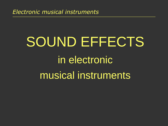# SOUND EFFECTS in electronic musical instruments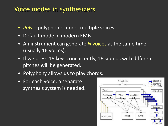## Voice modes in synthesizers

- *Poly* polyphonic mode, multiple voices.
- Default mode in modern EMIs.
- An instrument can generate *N* voices at the same time (usually 16 voices).
- If we press 16 keys concurrently, 16 sounds with different pitches will be generated.
- Polyphony allows us to play chords.
- For each voice, a separate synthesis system is needed.

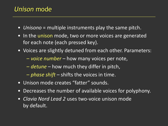## *Unison* mode

- *Unisono* = multiple instruments play the same pitch.
- In the unison mode, two or more voices are generated for each note (each pressed key).
- Voices are slightly detuned from each other. Parameters:
	- *voice number* how many voices per note,
	- *detune* how much they differ in pitch,
	- *phase shift* shifts the voices in time.
- Unison mode creates "fatter" sounds.
- Decreases the number of available voices for polyphony.
- *Clavia Nord Lead 2* uses two-voice unison mode by default.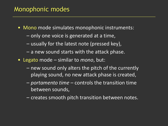## Monophonic modes

- Mono mode simulates monophonic instruments:
	- only one voice is generated at a time,
	- usually for the latest note (pressed key),
	- a new sound starts with the attack phase.
- Legato mode similar to *mono*, but:
	- new sound only alters the pitch of the currently playing sound, no new attack phase is created,
	- *portamento time* controls the transition time between sounds,
	- creates smooth pitch transition between notes.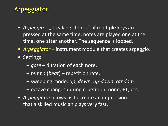## Arpeggiator

- *Arpeggio* "breaking chords": if multiple keys are pressed at the same time, notes are played one at the time, one after another. The sequence is looped.
- *Arpeggiator* instrument module that creates arpeggio.
- Settings:
	- *gate* duration of each note,
	- *tempo* (*beat*) repetition rate,
	- sweeping mode: *up*, *down*, *up-down*, *random*
	- $-$  octave changes during repetition: none,  $+1$ , etc.
- *Arpeggiator* allows us to create an impression that a skilled musician plays very fast.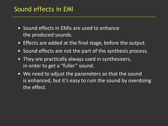- Sound effects in EMIs are used to enhance the produced sounds.
- Effects are added at the final stage, before the output.
- Sound effects are not the part of the synthesis process.
- They are practically always used in synthesizers, in order to get a "fuller" sound.
- We need to adjust the parameters so that the sound is enhanced, but it's easy to ruin the sound by overdoing the effect.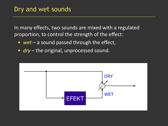In many effects, two sounds are mixed with a regulated proportion, to control the strength of the effect:

- *wet* a sound passed through the effect,
- *dry* the original, unprocessed sound.

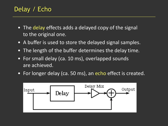## Delay / Echo

- The delay effects adds a delayed copy of the signal to the original one.
- A buffer is used to store the delayed signal samples.
- The length of the buffer determines the delay time.
- For small delay (ca. 10 ms), overlapped sounds are achieved.
- For longer delay (ca. 50 ms), an echo effect is created.

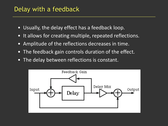## Delay with a feedback

- Usually, the delay effect has a feedback loop.
- It allows for creating multiple, repeated reflections.
- Amplitude of the reflections decreases in time.
- The feedback gain controls duration of the effect.
- The delay between reflections is constant.

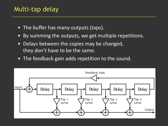## Multi-tap delay

- The buffer has many outputs (taps).
- By summing the outputs, we get multiple repetitions.
- Delays between the copies may be changed, they don't have to be the same.
- The feedback gain adds repetition to the sound.

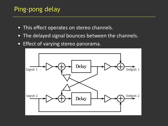## Ping-pong delay

- This effect operates on stereo channels.
- The delayed signal bounces between the channels.
- Effect of varying stereo panorama.

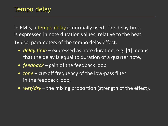In EMIs, a tempo delay is normally used. The delay time is expressed in note duration values, relative to the beat. Typical parameters of the tempo delay effect:

- *delay time* expressed as note duration, e.g. [4] means that the delay is equal to duration of a quarter note,
- *feedback* gain of the feedback loop,
- *tone* cut-off frequency of the low-pass filter in the feedback loop,
- *wet/dry* the mixing proportion (strength of the effect).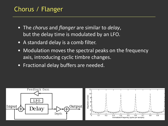## Chorus / Flanger

- The *chorus* and *flanger* are similar to *delay*, but the delay time is modulated by an LFO.
- A standard delay is a comb filter.
- Modulation moves the spectral peaks on the frequency axis, introducing cyclic timbre changes.
- Fractional delay buffers are needed.

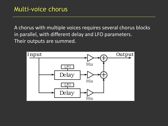A chorus with multiple voices requires several chorus blocks in parallel, with different delay and LFO parameters. Their outputs are summed.

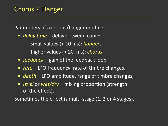Parameters of a chorus/flanger module:

- *delay time* delay between copies:
	- small values (< 10 ms): *flanger*,
	- higher values (> 20 ms): *chorus*,
- *feedback* gain of the feedback loop,
- *rate* LFO frequency, rate of timbre changes,
- *depth* LFO amplitude, range of timbre changes,
- *level* or *wet/dry* mixing proportion (strength of the effect).

Sometimes the effect is multi-stage (1, 2 or 4 stages).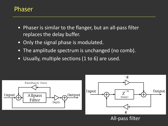#### Phaser

- Phaser is similar to the flanger, but an all-pass filter replaces the delay buffer.
- Only the signal phase is modulated.
- The amplitude spectrum is unchanged (no comb).
- Usually, multiple sections (1 to 6) are used.

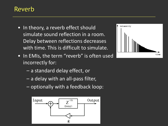## Reverb

- In theory, a reverb effect should simulate sound reflection in a room. Delay between reflections decreases with time. This is difficult to simulate.
- In EMIs, the term "reverb" is often used incorrectly for:
	- a standard delay effect, or
	- a delay with an all-pass filter,
	- optionally with a feedback loop:



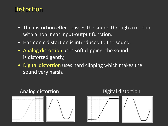### **Distortion**

- The distortion effect passes the sound through a module with a nonlinear input-output function.
- Harmonic distortion is introduced to the sound.
- Analog distortion uses soft clipping, the sound is distorted gently,
- Digital distortion uses hard clipping which makes the sound very harsh.



#### Analog distortion **Digital distortion**



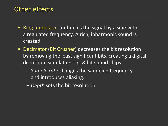## Other effects

- Ring modulator multiplies the signal by a sine with a regulated frequency. A rich, inharmonic sound is created.
- Decimator (Bit Crusher) decreases the bit resolution by removing the least significant bits, creating a digital distortion, simulating e.g. 8-bit sound chips.
	- *Sample rate* changes the sampling frequency and introduces aliasing.
	- *Depth* sets the bit resolution.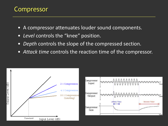## Compressor

- A compressor attenuates louder sound components.
- *Level* controls the "knee" position.
- *Depth* controls the slope of the compressed section.
- *Attack time* controls the reaction time of the compressor.

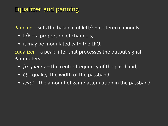Panning – sets the balance of left/right stereo channels:

- L/R a proportion of channels,
- it may be modulated with the LFO.

Equalizer – a peak filter that processes the output signal. Parameters:

- *frequency* the center frequency of the passband,
- *Q* quality, the width of the passband,
- *level* the amount of gain / attenuation in the passband.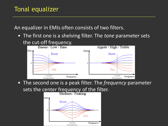An equalizer in EMIs often consists of two filters.

• The first one is a shelving filter. The *tone* parameter sets the cut-off frequency.



• The second one is a peak filter. The *frequency* parameter sets the center frequency of the filter.

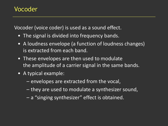## Vocoder

Vocoder (voice coder) is used as a sound effect.

- The signal is divided into frequency bands.
- A loudness envelope (a function of loudness changes) is extracted from each band.
- These envelopes are then used to modulate the amplitude of a carrier signal in the same bands.
- A typical example:
	- envelopes are extracted from the vocal,
	- they are used to modulate a synthesizer sound,
	- a "singing synthesizer" effect is obtained.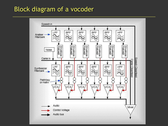## Block diagram of a vocoder